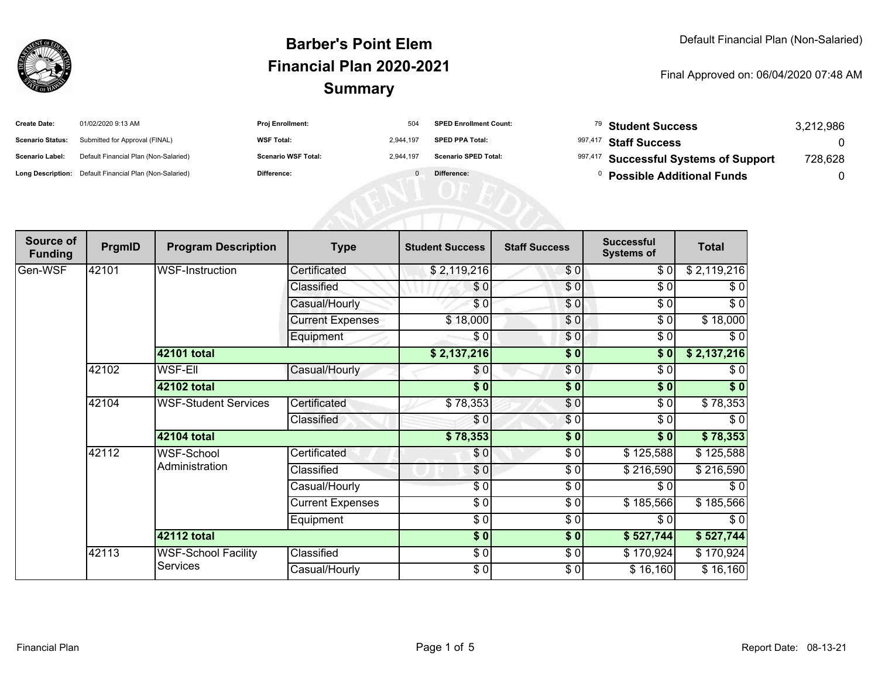

| <b>Create Date:</b>     | 01/02/2020 9:13 AM                                      | <b>Proj Enrollment:</b>    | 504       | <b>SPED Enrollment Count:</b> | <sup>79</sup> Student Success         | 3,212,986 |
|-------------------------|---------------------------------------------------------|----------------------------|-----------|-------------------------------|---------------------------------------|-----------|
| <b>Scenario Status:</b> | Submitted for Approval (FINAL)                          | <b>WSF Total:</b>          | 2.944.197 | <b>SPED PPA Total:</b>        | 997,417 Staff Success                 |           |
| <b>Scenario Label:</b>  | Default Financial Plan (Non-Salaried)                   | <b>Scenario WSF Total:</b> | 2.944.197 | <b>Scenario SPED Total:</b>   | 997,417 Successful Systems of Support | 728,628   |
|                         | Long Description: Default Financial Plan (Non-Salaried) | <b>Difference:</b>         |           | Difference:                   | <b>Possible Additional Funds</b>      |           |

| Source of<br><b>Funding</b> | PrgmID | <b>Program Description</b>   | <b>Type</b>             | <b>Student Success</b> | <b>Staff Success</b> | <b>Successful</b><br><b>Systems of</b> | <b>Total</b> |
|-----------------------------|--------|------------------------------|-------------------------|------------------------|----------------------|----------------------------------------|--------------|
| Gen-WSF                     | 42101  | <b>WSF-Instruction</b>       | Certificated            | \$2,119,216            | \$0                  | \$0]                                   | \$2,119,216  |
|                             |        |                              | Classified              | \$0                    | \$0                  | \$0                                    | \$0          |
|                             |        |                              | Casual/Hourly           | \$0                    | \$0                  | \$0                                    | $\sqrt{6}$   |
|                             |        |                              | <b>Current Expenses</b> | \$18,000               | \$0                  | \$0                                    | \$18,000     |
|                             |        |                              | Equipment               | \$0                    | \$0                  | \$0                                    | $\sqrt{6}$   |
|                             |        | 42101 total                  |                         | \$2,137,216            | \$0                  | \$0                                    | \$2,137,216  |
|                             | 42102  | <b>WSF-EII</b>               | Casual/Hourly           | \$0                    | $\sqrt{3}$           | $\sqrt{6}$                             | \$0          |
|                             |        | 42102 total                  |                         | \$0                    | \$0                  | \$0                                    | \$0          |
|                             | 42104  | <b>WSF-Student Services</b>  | Certificated            | \$78,353               | $\frac{6}{9}$        | \$0                                    | \$78,353     |
|                             |        |                              | Classified              | \$0                    | \$0                  | \$0                                    | \$0          |
|                             |        | <b>42104 total</b>           |                         | \$78,353               | \$0                  | \$0                                    | \$78,353     |
|                             | 42112  | WSF-School<br>Administration | Certificated            | \$0                    | \$0                  | \$125,588                              | \$125,588    |
|                             |        |                              | Classified              | \$0                    | \$0                  | \$216,590                              | \$216,590    |
|                             |        |                              | Casual/Hourly           | \$0                    | \$0                  | \$0                                    | \$0          |
|                             |        |                              | <b>Current Expenses</b> | \$0                    | \$0                  | \$185,566                              | \$185,566    |
|                             |        |                              | Equipment               | $\sqrt{3}$             | \$0                  | \$0                                    | \$0          |
|                             |        | <b>42112 total</b>           |                         | $\sqrt{5}$             | $\frac{1}{2}$        | \$527,744                              | \$527,744    |
|                             | 42113  | <b>WSF-School Facility</b>   | Classified              | $\sqrt{6}$             | $\frac{3}{2}$        | \$170,924                              | \$170,924    |
|                             |        | Services                     | Casual/Hourly           | \$0                    | \$0                  | \$16,160                               | \$16,160     |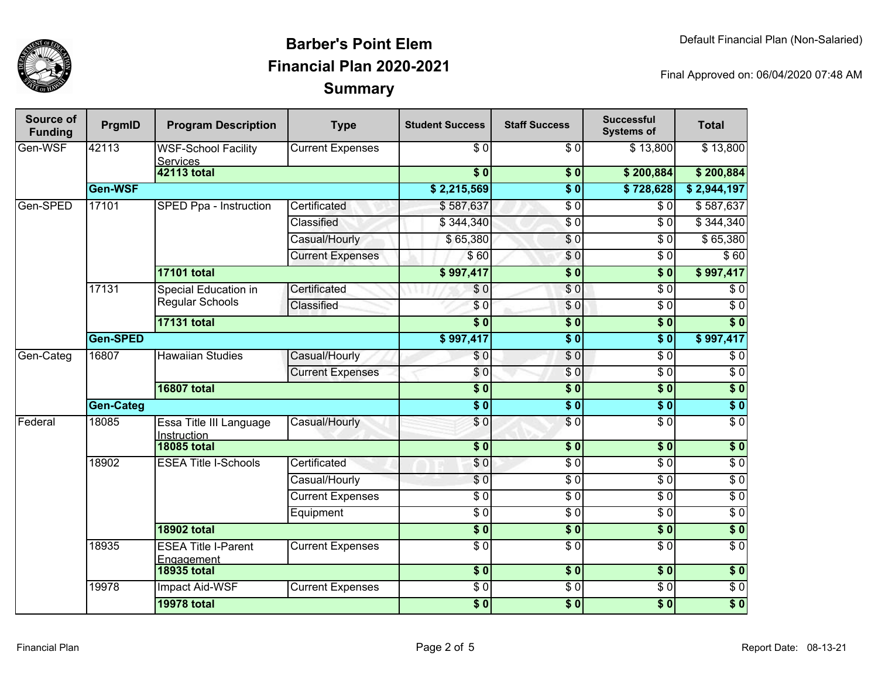

| Source of<br><b>Funding</b> | PrgmID    | <b>Program Description</b>                     | <b>Type</b>             | <b>Student Success</b> | <b>Staff Success</b>     | <b>Successful</b><br><b>Systems of</b> | <b>Total</b>     |            |
|-----------------------------|-----------|------------------------------------------------|-------------------------|------------------------|--------------------------|----------------------------------------|------------------|------------|
| Gen-WSF                     | 42113     | <b>WSF-School Facility</b><br><b>Services</b>  | <b>Current Expenses</b> | $\overline{30}$        | $\overline{\frac{1}{6}}$ | $\overline{$}3,800$                    | \$13,800         |            |
|                             |           | <b>42113 total</b>                             |                         | $\sqrt{6}$             | \$0                      | \$200,884                              | \$200,884        |            |
|                             | Gen-WSF   |                                                |                         | \$2,215,569            | $\overline{\bullet}$     | \$728,628                              | \$2,944,197      |            |
| Gen-SPED                    | 17101     | SPED Ppa - Instruction                         | Certificated            | \$587,637              | $\overline{\$0}$         | $\overline{\$0}$                       | \$587,637        |            |
|                             |           |                                                | Classified              | \$344,340              | \$ 0                     | $\overline{\$0}$                       | \$344,340        |            |
|                             |           |                                                | Casual/Hourly           | \$65,380               | $\frac{6}{6}$            | $\overline{\$0}$                       | \$65,380         |            |
|                             |           |                                                | <b>Current Expenses</b> | \$60                   | \$0                      | $\overline{\$0}$                       | \$60             |            |
|                             |           | <b>17101 total</b>                             |                         | \$997,417              | $\overline{\$0}$         | s <sub>0</sub>                         | \$997,417        |            |
|                             | 17131     | Special Education in<br><b>Regular Schools</b> | Certificated            | \$0                    | $\frac{1}{\epsilon}$     | $\overline{\$0}$                       | $\overline{\$0}$ |            |
|                             |           |                                                | Classified              | \$0                    | \$0                      | $\overline{\$0}$                       | $\overline{\$0}$ |            |
|                             |           | <b>17131 total</b>                             |                         | s <sub>0</sub>         | $\overline{\$0}$         | $\overline{\$0}$                       | $\overline{\$0}$ |            |
|                             | Gen-SPED  |                                                |                         | \$997,417              | $\overline{\$0}$         | $\overline{\$0}$                       | \$997,417        |            |
| Gen-Categ                   | 16807     | <b>Hawaiian Studies</b>                        | Casual/Hourly           | \$0                    | $\overline{\$0}$         | $\overline{\$0}$                       | $\overline{\$0}$ |            |
|                             |           |                                                | <b>Current Expenses</b> | \$0                    | $\sqrt{6}$               | $\overline{\$0}$                       | $\overline{\$0}$ |            |
|                             |           | <b>16807 total</b>                             |                         | $\overline{\$0}$       | $\sqrt{6}$               | $\overline{\$0}$                       | \$0              |            |
|                             | Gen-Categ |                                                |                         | $\overline{\$0}$       | $\overline{\$0}$         | $\overline{\bullet}$                   | $\overline{\$0}$ |            |
| Federal                     | 18085     | Essa Title III Language<br>Instruction         | Casual/Hourly           | \$0                    | $\overline{\$0}$         | $\overline{\$0}$                       | $\overline{\$0}$ |            |
|                             |           | <b>18085 total</b>                             |                         | $\sqrt{6}$             | $\frac{1}{2}$            | $\overline{\bullet}$                   | \$0              |            |
|                             | 18902     | <b>ESEA Title I-Schools</b>                    |                         | Certificated           | \$0                      | $\overline{S}0$                        | $\overline{S}0$  | $\sqrt{6}$ |
|                             |           |                                                | Casual/Hourly           | \$0                    | $\overline{50}$          | $\sqrt{6}$                             | $\sqrt{6}$       |            |
|                             |           |                                                | <b>Current Expenses</b> | $\sqrt{6}$             | $\sqrt{6}$               | $\sqrt{6}$                             | $\sqrt{6}$       |            |
|                             |           |                                                | Equipment               | $\overline{S}0$        | $\overline{\$0}$         | $\sqrt{6}$                             | $\overline{\$0}$ |            |
|                             |           | <b>18902 total</b>                             |                         | \$0                    | $\frac{1}{6}$            | $\overline{\$0}$                       | \$0              |            |
|                             | 18935     | <b>ESEA Title I-Parent</b><br>Engagement       | <b>Current Expenses</b> | $\sqrt{6}$             | \$0                      | $\sqrt{6}$                             | $\overline{S}0$  |            |
|                             |           | <b>18935 total</b>                             |                         | $\overline{\$0}$       | $\sqrt{6}$               | $\overline{\$0}$                       | $\overline{\$0}$ |            |
|                             | 19978     | <b>Impact Aid-WSF</b>                          | <b>Current Expenses</b> | $\overline{\$0}$       | $\overline{50}$          | $\overline{\$0}$                       | $\overline{60}$  |            |
|                             |           | <b>19978 total</b>                             |                         | $\overline{\$0}$       | $\overline{\$0}$         | $\overline{\$0}$                       | $\overline{\$0}$ |            |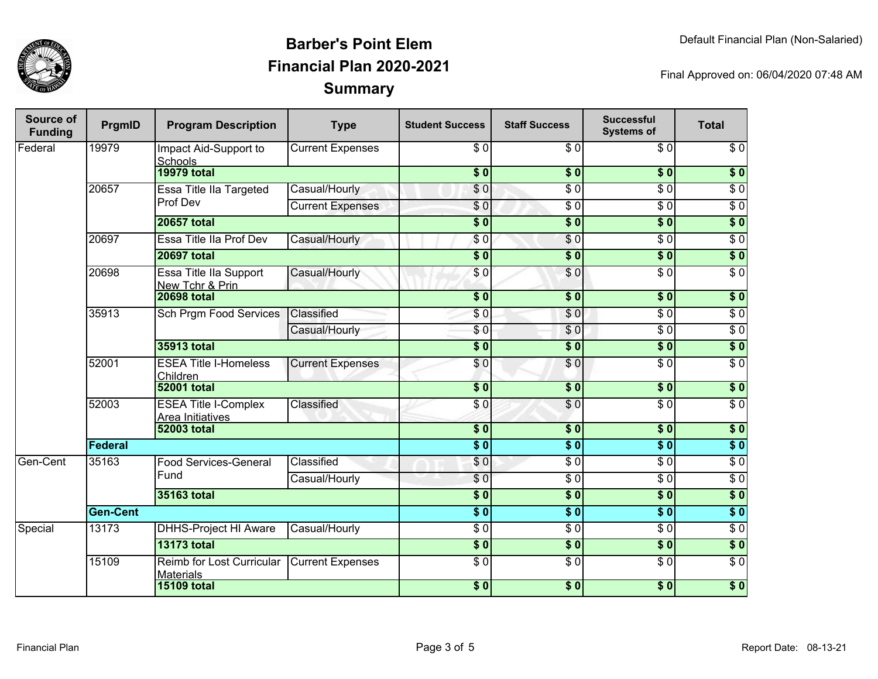

| <b>Source of</b><br><b>Funding</b> | PrgmID          | <b>Program Description</b>                      | <b>Type</b>                  | <b>Student Success</b>   | <b>Staff Success</b> | <b>Successful</b><br><b>Systems of</b> | <b>Total</b>     |                  |
|------------------------------------|-----------------|-------------------------------------------------|------------------------------|--------------------------|----------------------|----------------------------------------|------------------|------------------|
| Federal                            | 19979           | Impact Aid-Support to<br>Schools                | <b>Current Expenses</b>      | $\overline{\$0}$         | $\overline{30}$      | $\overline{\$0}$                       | $\overline{\$0}$ |                  |
|                                    |                 | <b>19979 total</b>                              |                              | $\overline{\$}0$         | $\overline{\$0}$     | $\overline{\$0}$                       | $\overline{\$0}$ |                  |
|                                    | 20657           | Essa Title IIa Targeted                         | Casual/Hourly                | \$0                      | $\overline{\$0}$     | $\overline{\$0}$                       | $\overline{\$0}$ |                  |
|                                    |                 | Prof Dev                                        | <b>Current Expenses</b>      | \$0                      | $\overline{\$0}$     | $\overline{\$0}$                       | $\overline{\$0}$ |                  |
|                                    |                 | <b>20657 total</b>                              |                              | $\overline{\$0}$         | $\overline{\$0}$     | $\overline{\$0}$                       | $\overline{\$0}$ |                  |
|                                    | 20697           | Essa Title IIa Prof Dev                         | Casual/Hourly                | $\sqrt{6}$               | $\overline{S}0$      | $\overline{\$0}$                       | $\overline{\$0}$ |                  |
|                                    |                 | <b>20697 total</b>                              |                              | $\overline{\$0}$         | $\overline{\$0}$     | $\overline{\$0}$                       | $\overline{\$0}$ |                  |
|                                    | 20698           | Essa Title IIa Support<br>New Tchr & Prin       | Casual/Hourly                | \$0                      | \$0                  | $\overline{\$0}$                       | $\overline{\$0}$ |                  |
|                                    |                 | <b>20698 total</b>                              |                              | $\overline{\bullet}$     | $\overline{\$0}$     | $\overline{\$0}$                       | $\sqrt{6}$       |                  |
|                                    | 35913           | <b>Sch Prgm Food Services</b>                   | Classified                   | \$0                      | \$0                  | $\overline{\$0}$                       | $\sqrt{6}$       |                  |
|                                    |                 |                                                 | Casual/Hourly                | \$0                      | \$0                  | $\overline{\$0}$                       | $\overline{60}$  |                  |
|                                    |                 | 35913 total                                     |                              | $\overline{\$0}$         | \$0                  | $\overline{\$0}$                       | $\overline{\$0}$ |                  |
|                                    | 52001           | <b>ESEA Title I-Homeless</b><br>Children        | <b>Current Expenses</b>      | \$0                      | \$0                  | $\overline{\$0}$                       | $\overline{\$0}$ |                  |
|                                    |                 | <b>52001 total</b>                              |                              | $\overline{\$0}$         | $\overline{\$0}$     | $\overline{\$0}$                       | $\overline{\$0}$ |                  |
|                                    | 52003           | <b>ESEA Title I-Complex</b><br>Area Initiatives | Classified                   | $\overline{\$0}$         | $\overline{S}0$      | $\overline{30}$                        | $\overline{\$0}$ |                  |
|                                    |                 | <b>52003 total</b>                              |                              | $\overline{\textbf{50}}$ | $\overline{\$0}$     | $\overline{\$0}$                       | \$0              |                  |
|                                    | Federal         |                                                 | $\overline{\$0}$             | $\overline{\$0}$         | $\overline{\$0}$     | $\overline{\$0}$                       |                  |                  |
| Gen-Cent                           | 35163           | Fund                                            | <b>Food Services-General</b> | Classified               | \$0                  | $\overline{\$0}$                       | $\overline{\$0}$ | $\overline{\$0}$ |
|                                    |                 |                                                 |                              | Casual/Hourly            | \$0                  | $\overline{\$0}$                       | $\overline{\$0}$ | $\overline{\$0}$ |
|                                    |                 | 35163 total                                     |                              | $\overline{\$0}$         | $\overline{\$0}$     | $\sqrt{6}$                             | $\overline{\$0}$ |                  |
|                                    | <b>Gen-Cent</b> |                                                 |                              | $\overline{\$0}$         | $\overline{\$0}$     | $\overline{\$0}$                       | $\overline{\$0}$ |                  |
| Special                            | 13173           | <b>DHHS-Project HI Aware</b>                    | Casual/Hourly                | $\overline{\$0}$         | $\overline{\$0}$     | $\overline{\$0}$                       | $\overline{\$0}$ |                  |
|                                    |                 | <b>13173 total</b>                              |                              | $\overline{\textbf{50}}$ | $\sqrt{6}$           | \$0                                    | $\overline{\$0}$ |                  |
|                                    | 15109           | Reimb for Lost Curricular<br><b>Materials</b>   | <b>Current Expenses</b>      | $\overline{\$0}$         | $\overline{\$0}$     | $\overline{\$0}$                       | $\overline{\$0}$ |                  |
|                                    |                 | <b>15109 total</b>                              |                              | $\overline{\$0}$         | $\sqrt{6}$           | $\sqrt{6}$                             | $\sqrt{6}$       |                  |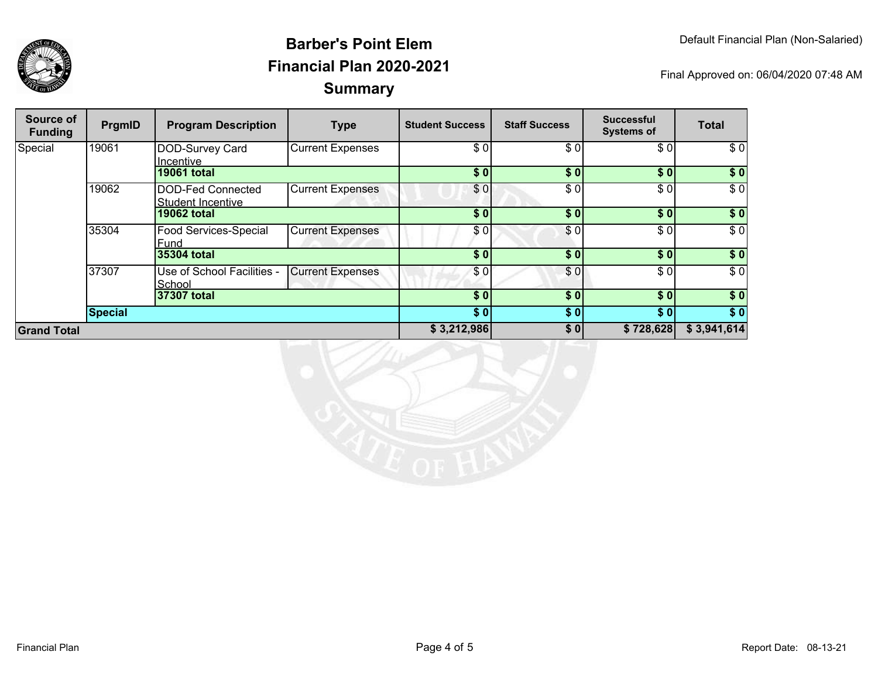

| Source of<br><b>Funding</b> | PrgmID  | <b>Program Description</b>             | <b>Type</b>             | <b>Student Success</b> | <b>Staff Success</b> | <b>Successful</b><br><b>Systems of</b> | <b>Total</b> |
|-----------------------------|---------|----------------------------------------|-------------------------|------------------------|----------------------|----------------------------------------|--------------|
| Special                     | 19061   | DOD-Survey Card<br>Incentive           | <b>Current Expenses</b> | \$0                    | \$0                  | \$0]                                   | \$0          |
|                             |         | <b>19061 total</b>                     |                         | \$0                    | \$0                  | $s$ <sub>0</sub>                       | \$0          |
|                             | 19062   | DOD-Fed Connected<br>Student Incentive | <b>Current Expenses</b> | \$0                    | \$0                  | \$0]                                   | \$0          |
|                             |         | <b>19062 total</b>                     |                         | \$0                    | \$0                  | \$0]                                   | \$0          |
|                             | 35304   | Food Services-Special<br>Fund          | <b>Current Expenses</b> | \$0]                   | \$0                  | \$0                                    | $\sqrt{6}$   |
|                             |         | 35304 total                            |                         | \$0                    | $\overline{\$0}$     | \$0                                    | \$0          |
|                             | 37307   | Use of School Facilities -<br>School   | <b>Current Expenses</b> | \$0                    | \$0                  | \$0                                    | \$0          |
|                             |         | 37307 total                            |                         | \$0                    | \$0                  | \$0]                                   | \$0          |
|                             | Special |                                        |                         | \$0                    | \$0]                 | \$0]                                   | \$0          |
| <b>Grand Total</b>          |         |                                        |                         | \$3,212,986            | \$0                  | \$728,628                              | \$3,941,614  |